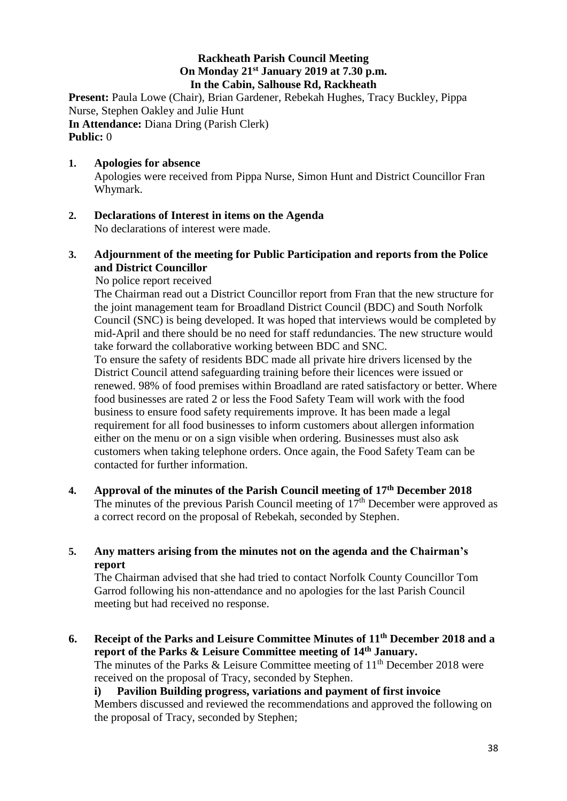## **Rackheath Parish Council Meeting On Monday 21st January 2019 at 7.30 p.m. In the Cabin, Salhouse Rd, Rackheath**

Present: Paula Lowe (Chair), Brian Gardener, Rebekah Hughes, Tracy Buckley, Pippa Nurse, Stephen Oakley and Julie Hunt **In Attendance:** Diana Dring (Parish Clerk) **Public:** 0

### **1. Apologies for absence** Apologies were received from Pippa Nurse, Simon Hunt and District Councillor Fran Whymark.

**2. Declarations of Interest in items on the Agenda** No declarations of interest were made.

# **3. Adjournment of the meeting for Public Participation and reports from the Police and District Councillor**

No police report received

The Chairman read out a District Councillor report from Fran that the new structure for the joint management team for Broadland District Council (BDC) and South Norfolk Council (SNC) is being developed. It was hoped that interviews would be completed by mid-April and there should be no need for staff redundancies. The new structure would take forward the collaborative working between BDC and SNC.

 To ensure the safety of residents BDC made all private hire drivers licensed by the District Council attend safeguarding training before their licences were issued or renewed. 98% of food premises within Broadland are rated satisfactory or better. Where food businesses are rated 2 or less the Food Safety Team will work with the food business to ensure food safety requirements improve. It has been made a legal requirement for all food businesses to inform customers about allergen information either on the menu or on a sign visible when ordering. Businesses must also ask customers when taking telephone orders. Once again, the Food Safety Team can be contacted for further information.

**4. Approval of the minutes of the Parish Council meeting of 17 th December 2018** The minutes of the previous Parish Council meeting of  $17<sup>th</sup>$  December were approved as a correct record on the proposal of Rebekah, seconded by Stephen.

## **5. Any matters arising from the minutes not on the agenda and the Chairman's report**

The Chairman advised that she had tried to contact Norfolk County Councillor Tom Garrod following his non-attendance and no apologies for the last Parish Council meeting but had received no response.

**6. Receipt of the Parks and Leisure Committee Minutes of 11th December 2018 and a report of the Parks & Leisure Committee meeting of 14th January.** The minutes of the Parks & Leisure Committee meeting of  $11<sup>th</sup>$  December 2018 were received on the proposal of Tracy, seconded by Stephen. **i) Pavilion Building progress, variations and payment of first invoice**

Members discussed and reviewed the recommendations and approved the following on the proposal of Tracy, seconded by Stephen;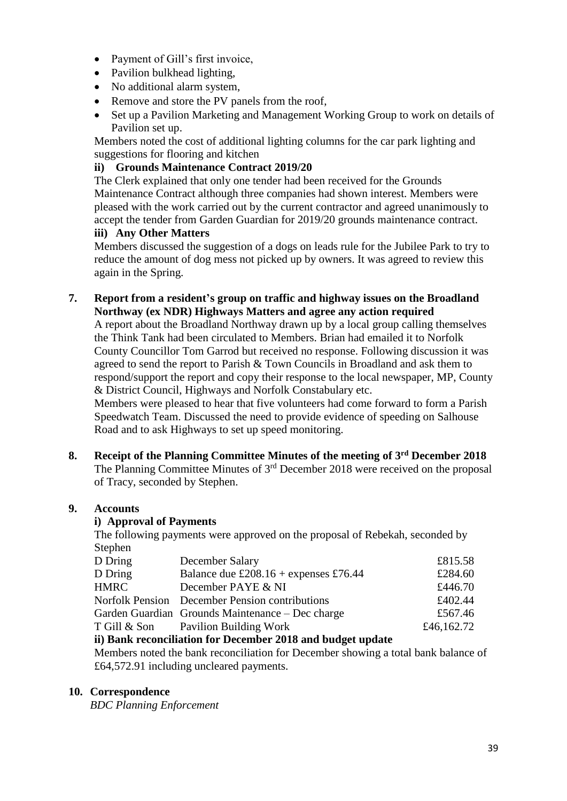- Payment of Gill's first invoice,
- Pavilion bulkhead lighting,
- No additional alarm system,
- Remove and store the PV panels from the roof,
- Set up a Pavilion Marketing and Management Working Group to work on details of Pavilion set up.

Members noted the cost of additional lighting columns for the car park lighting and suggestions for flooring and kitchen

## **ii) Grounds Maintenance Contract 2019/20**

The Clerk explained that only one tender had been received for the Grounds Maintenance Contract although three companies had shown interest. Members were pleased with the work carried out by the current contractor and agreed unanimously to accept the tender from Garden Guardian for 2019/20 grounds maintenance contract. **iii) Any Other Matters**

Members discussed the suggestion of a dogs on leads rule for the Jubilee Park to try to reduce the amount of dog mess not picked up by owners. It was agreed to review this again in the Spring.

### **7. Report from a resident's group on traffic and highway issues on the Broadland Northway (ex NDR) Highways Matters and agree any action required**

A report about the Broadland Northway drawn up by a local group calling themselves the Think Tank had been circulated to Members. Brian had emailed it to Norfolk County Councillor Tom Garrod but received no response. Following discussion it was agreed to send the report to Parish & Town Councils in Broadland and ask them to respond/support the report and copy their response to the local newspaper, MP, County & District Council, Highways and Norfolk Constabulary etc.

Members were pleased to hear that five volunteers had come forward to form a Parish Speedwatch Team. Discussed the need to provide evidence of speeding on Salhouse Road and to ask Highways to set up speed monitoring.

**8. Receipt of the Planning Committee Minutes of the meeting of 3 rd December 2018** The Planning Committee Minutes of 3<sup>rd</sup> December 2018 were received on the proposal of Tracy, seconded by Stephen.

### **9. Accounts**

## **i) Approval of Payments**

The following payments were approved on the proposal of Rebekah, seconded by **Stephen** 

| D Dring      | December Salary                                  | £815.58    |
|--------------|--------------------------------------------------|------------|
| D Dring      | Balance due £208.16 + expenses £76.44            | £284.60    |
| <b>HMRC</b>  | December PAYE & NI                               | £446.70    |
|              | Norfolk Pension December Pension contributions   | £402.44    |
|              | Garden Guardian Grounds Maintenance – Dec charge | £567.46    |
| T Gill & Son | Pavilion Building Work                           | £46,162.72 |
|              |                                                  |            |

## **ii) Bank reconciliation for December 2018 and budget update**

Members noted the bank reconciliation for December showing a total bank balance of £64,572.91 including uncleared payments.

#### **10. Correspondence**

*BDC Planning Enforcement*